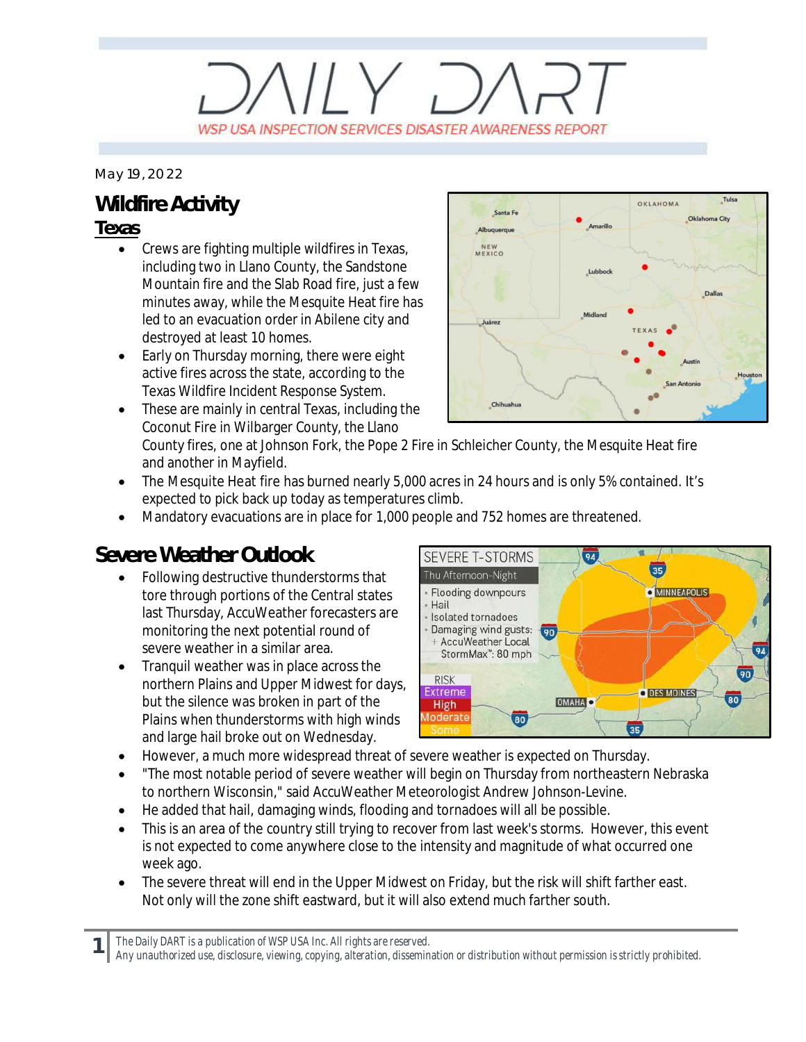# $\left(\left|1\right\rangle\right)$ WSP USA INSPECTION SERVICES DISASTER AWARENESS REPORT

*May 19, 2022*

### **Wildfire Activity**

#### **Texas**

- Crews are fighting multiple wildfires in Texas, including two in Llano County, the Sandstone Mountain fire and the Slab Road fire, just a few minutes away, while the Mesquite Heat fire has led to an evacuation order in Abilene city and destroyed at least 10 homes.
- Early on Thursday morning, there were eight active fires across the state, according to the Texas Wildfire Incident Response System.
- · These are mainly in central Texas, including the Coconut Fire in Wilbarger County, the Llano



County fires, one at Johnson Fork, the Pope 2 Fire in Schleicher County, the Mesquite Heat fire and another in Mayfield.

- The Mesquite Heat fire has burned nearly 5,000 acres in 24 hours and is only 5% contained. It's expected to pick back up today as temperatures climb.
- · Mandatory evacuations are in place for 1,000 people and 752 homes are threatened.

### **Severe Weather Outlook**

- · Following destructive thunderstorms that tore through portions of the Central states last Thursday, AccuWeather forecasters are monitoring the next potential round of severe weather in a similar area.
- · Tranquil weather was in place across the northern Plains and Upper Midwest for days, but the silence was broken in part of the Plains when thunderstorms with high winds and large hail broke out on Wednesday.



- · However, a much more widespread threat of severe weather is expected on Thursday.
- · "The most notable period of severe weather will begin on Thursday from northeastern Nebraska to northern Wisconsin," said AccuWeather Meteorologist Andrew Johnson-Levine.
- He added that hail, damaging winds, flooding and tornadoes will all be possible.
- This is an area of the country still trying to recover from last week's storms. However, this event is not expected to come anywhere close to the intensity and magnitude of what occurred one week ago.
- The severe threat will end in the Upper Midwest on Friday, but the risk will shift farther east. Not only will the zone shift eastward, but it will also extend much farther south.

*The Daily DART is a publication of WSP USA Inc. All rights are reserved.*

**1**

*Any unauthorized use, disclosure, viewing, copying, alteration, dissemination or distribution without permission is strictly prohibited.*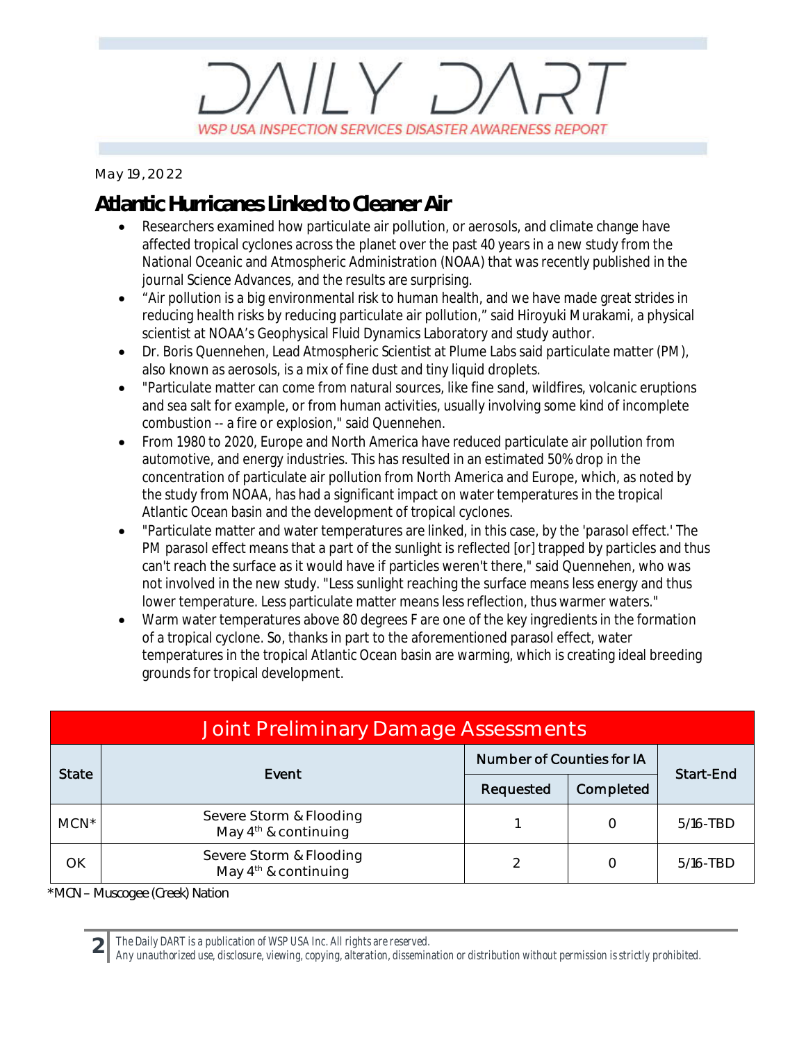# $11Y.$ WSP USA INSPECTION SERVICES DISASTER AWARENESS REPORT

*May 19, 2022*

## **Atlantic Hurricanes Linked to Cleaner Air**

- Researchers examined how particulate air pollution, or aerosols, and climate change have affected tropical cyclones across the planet over the past 40 years in a new study from the National Oceanic and Atmospheric Administration (NOAA) that was recently published in the journal Science Advances, and the results are surprising.
- · "Air pollution is a big environmental risk to human health, and we have made great strides in reducing health risks by reducing particulate air pollution," said Hiroyuki Murakami, a physical scientist at NOAA's Geophysical Fluid Dynamics Laboratory and study author.
- · Dr. Boris Quennehen, Lead Atmospheric Scientist at Plume Labs said particulate matter (PM), also known as aerosols, is a mix of fine dust and tiny liquid droplets.
- · "Particulate matter can come from natural sources, like fine sand, wildfires, volcanic eruptions and sea salt for example, or from human activities, usually involving some kind of incomplete combustion -- a fire or explosion," said Quennehen.
- · From 1980 to 2020, Europe and North America have reduced particulate air pollution from automotive, and energy industries. This has resulted in an estimated 50% drop in the concentration of particulate air pollution from North America and Europe, which, as noted by the study from NOAA, has had a significant impact on water temperatures in the tropical Atlantic Ocean basin and the development of tropical cyclones.
- · "Particulate matter and water temperatures are linked, in this case, by the 'parasol effect.' The PM parasol effect means that a part of the sunlight is reflected [or] trapped by particles and thus can't reach the surface as it would have if particles weren't there," said Quennehen, who was not involved in the new study. "Less sunlight reaching the surface means less energy and thus lower temperature. Less particulate matter means less reflection, thus warmer waters."
- Warm water temperatures above 80 degrees F are one of the key ingredients in the formation of a tropical cyclone. So, thanks in part to the aforementioned parasol effect, water temperatures in the tropical Atlantic Ocean basin are warming, which is creating ideal breeding grounds for tropical development.

| Joint Preliminary Damage Assessments |                                                   |                                  |           |              |  |  |  |
|--------------------------------------|---------------------------------------------------|----------------------------------|-----------|--------------|--|--|--|
| <b>State</b>                         | Event                                             | <b>Number of Counties for IA</b> |           | Start-End    |  |  |  |
|                                      |                                                   | Requested                        | Completed |              |  |  |  |
| $MCN^*$                              | Severe Storm & Flooding<br>May $4th$ & continuing |                                  | O         | $5/16$ -TBD  |  |  |  |
| OK                                   | Severe Storm & Flooding<br>May $4th$ & continuing | 2                                | Ω         | $5/16 - TBD$ |  |  |  |

*\*MCN – Muscogee (Creek) Nation*

**2**

*The Daily DART is a publication of WSP USA Inc. All rights are reserved.*

*Any unauthorized use, disclosure, viewing, copying, alteration, dissemination or distribution without permission is strictly prohibited.*